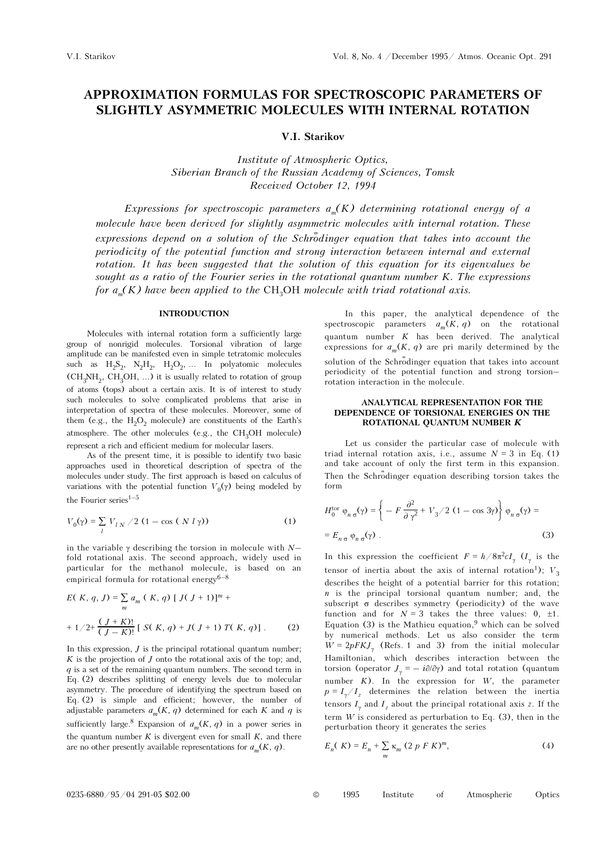# APPROXIMATION FORMULAS FOR SPECTROSCOPIC PARAMETERS OF SLIGHTLY ASYMMETRIC MOLECULES WITH INTERNAL ROTATION

# V.I. Starikov

Institute of Atmospheric Optics, Siberian Branch of the Russian Academy of Sciences, Tomsk Received October 12, 1994

Expressions for spectroscopic parameters  $a_m(K)$  determining rotational energy of a molecule have been derived for slightly asymmetric molecules with internal rotation. These expressions depend on a solution of the Schrodinger equation that takes into account the periodicity of the potential function and strong interaction between internal and external rotation. It has been suggested that the solution of this equation for its eigenvalues be sought as a ratio of the Fourier series in the rotational quantum number K. The expressions for  $a_m(K)$  have been applied to the CH<sub>3</sub>OH molecule with triad rotational axis.

### INTRODUCTION

Molecules with internal rotation form a sufficiently large group of nonrigid molecules. Torsional vibration of large amplitude can be manifested even in simple tetratomic molecules such as  $H_2S_2$ ,  $N_2H_2$ ,  $H_2O_2$ , ... In polyatomic molecules  $(CH_3NH_2, CH_3OH, ...)$  it is usually related to rotation of group of atoms (tops) about a certain axis. It is of interest to study such molecules to solve complicated problems that arise in interpretation of spectra of these molecules. Moreover, some of them (e.g., the  $H_2O_2$  molecule) are constituents of the Earth's atmosphere. The other molecules (e.g., the CH<sub>3</sub>OH molecule) represent a rich and efficient medium for molecular lasers.

As of the present time, it is possible to identify two basic approaches used in theoretical description of spectra of the molecules under study. The first approach is based on calculus of variations with the potential function  $V_0(γ)$  being modeled by approaches used in<br>molecules under studential wariations with the<br>the Fourier series<sup>1–5</sup> mder study. The first approach is based on calculus on<br>with the potential function  $V_0(\gamma)$  being modeled by<br>series<sup>1-5</sup><br> $V_{LN}/2$  (1 – cos ( N l  $\gamma$ )) (1)

the Fourier series<sup>1-5</sup>  
\n
$$
V_0(\gamma) = \sum_l V_{l,N} / 2 (1 - \cos (N l \gamma))
$$
\n(1)

\nin the variable  $\gamma$  describing the torsion in molecule with  $N$ –

fold rotational axis. The second approach, widely used in particular for the methanol molecule, is based on an in the variable  $\gamma$  describing the torsion in fold rotational axis. The second approach particular for the methanol molecule, empirical formula for rotational energy<sup>6–8</sup>

$$
E(K, q, J) = \sum_{m} a_{m} (K, q) [J(J+1)]^{m} +
$$
  
+ 1/2+  $\frac{(J+K)!}{(J-K)!}$  [ S(K, q) + J(J+1) T(K, q)]. (2)

In this expression,  $J$  is the principal rotational quantum number;  $K$  is the projection of  $J$  onto the rotational axis of the top; and,  $q$  is a set of the remaining quantum numbers. The second term in Eq. (2) describes splitting of energy levels due to molecular asymmetry. The procedure of identifying the spectrum based on Eq. (2) is simple and efficient; however, the number of adjustable parameters  $a_m(K, q)$  determined for each K and q is sufficiently large.<sup>8</sup> Expansion of  $a_m(K, q)$  in a power series in the quantum number  $K$  is divergent even for small  $K$ , and there are no other presently available representations for  $a_m(K, q)$ .

In this paper, the analytical dependence of the spectroscopic parameters  $a_m(K, q)$  on the rotational quantum number  $K$  has been derived. The analytical expressions for  $a_m(K, q)$  are pri marily determined by the solution of the Schrodinger equation that takes into account spectroscopic parameters  $u_m(x, q)$  on the fotational<br>quantum number K has been derived. The analytical<br>expressions for  $a_m(K, q)$  are pri marily determined by the<br>solution of the Schrödinger equation that takes into account<br> rotation interaction in the molecule.

### ANALYTICAL REPRESENTATION FOR THE DEPENDENCE OF TORSIONAL ENERGIES ON THE ROTATIONAL QUANTUM NUMBER K

Let us consider the particular case of molecule with triad internal rotation axis, i.e., assume  $N = 3$  in Eq. (1) and take account of only the first term in this expansion. Then the Schrodinger equation describing torsion takes the form<br>  $H_0^{\text{tor}}$   $\varphi_n \circ (\gamma) = \left\{ -F \frac{\partial^2}{\partial \gamma^2} + V_3/2 (1 - \cos 3\gamma) \right\} \varphi_n \circ (\gamma) =$ form

$$
H_0^{\text{tor}} \varphi_{n\sigma}(\gamma) = \left\{ -F \frac{\partial^2}{\partial \gamma^2} + V_3 / 2 (1 - \cos 3\gamma) \right\} \varphi_{n\sigma}(\gamma) =
$$
  
=  $E_{n\sigma} \varphi_{n\sigma}(\gamma)$ . (3)

In this expression the coefficient  $F = h / 8\pi^2 c I_{\gamma}$  ( $I_{\gamma}$  is the tensor of inertia about the axis of internal rotation<sup>1</sup>);  $V_3$ describes the height of a potential barrier for this rotation;  $n$  is the principal torsional quantum number; and, the subscript σ describes symmetry (periodicity) of the wave function and for  $N = 3$  takes the three values: 0,  $\pm 1$ . Equation (3) is the Mathieu equation,<sup>9</sup> which can be solved by numerical methods. Let us also consider the term  $W = 2pFKJ_{\gamma}$  (Refs. 1 and 3) from the initial molecular Hamiltonian, which describes interaction between the torsion (operator  $J_y = -i\partial/\partial y$ ) and total rotation (quantum Mathieu equation,<sup>9</sup> which can be solved<br>hods. Let us also consider the term<br>.1 and 3) from the initial molecular<br>h describes interaction between the<br> $\lambda = -i\partial/\partial\gamma$  and total rotation (quantum number  $K$ ). In the expression for  $W$ , the parameter  $p = I_{\gamma}/I_{z}$  determines the relation between the inertia tensors  $I_{\gamma}$  and  $I_{z}$  about the principal rotational axis  $z$ . If the term  $W$  is considered as perturbation to Eq. (3), then in the perturbation theory it generates the series

$$
E_n(K) = E_n + \sum_m \kappa_m (2 p F K)^m,
$$
 (4)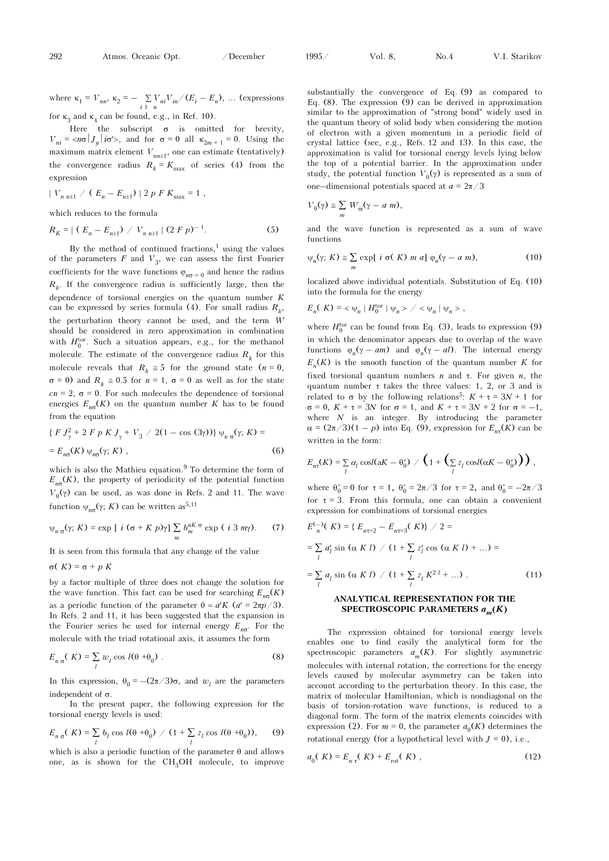292 Atmos. Oceanic Opt. / December<br>where  $\kappa_1 = V_{nn}$ ,  $\kappa_2 = -\sum_{i=1}^{n} V_{ni}V_{in}/(E_i - E_n)$ , ... (expressions

for  $\kappa_3$  and  $\kappa_4$  can be found, e.g., in Ref. 10).

Here the subscript  $\sigma$  is omitted for brevity,  $V_{ni} = \langle n\sigma | J_y | i\sigma' \rangle$ , and for  $\sigma = 0$  all  $\kappa_{2m+1} = 0$ . Using the maximum matrix element  $V_{nn\pm1}$ , one can estimate (tentatively)<br>the convergence radius  $R_k = K_{\text{max}}$  of series (4) from the<br>expression<br> $|V_{n n\pm1} / (E_n - E_{n\pm1})| 2 p F K_{\text{max}} = 1$ , the convergence radius  $R_k = K_{\text{max}}$  of series (4) from the expression

$$
|V_{n n+1} / (E_n - E_{n+1})| 2 p F K_{\text{max}} = 1,
$$

which reduces to the formula

$$
|V_{n n \pm 1} / (E_n - E_{n \pm 1})| 2 p F K_{\text{max}} = 1,
$$
  
which reduces to the formula  

$$
R_K = | (E_n - E_{n \pm 1}) / V_{n n \pm 1} | (2 F p)^{-1}.
$$
 (5)

By the method of continued fractions,<sup>1</sup> using the values of the parameters  $F$  and  $V_3$ , we can assess the first Fourier coefficients for the wave functions  $\varphi_{n\sigma} = 0$  and hence the radius  $R_k$ . If the convergence radius is sufficiently large, then the dependence of torsional energies on the quantum number K can be expressed by series formula (4). For small radius  $R_k$ , the perturbation theory cannot be used, and the term W should be considered in zero approximation in combination with  $H_0^{\text{tor}}$ . Such a situation appears, e.g., for the methanol molecule. The estimate of the convergence radius  $R_k$  for this molecule reveals that  $R_k \approx 5$  for the ground state  $(n = 0,$  $σ = 0$ ) and  $R<sub>k</sub> \approx 0.5$  for  $n = 1$ ,  $σ = 0$  as well as for the state cn = 2,  $\sigma$  = 0. For such molecules the dependence of torsional energies  $E_{n\sigma}(K)$  on the quantum number K has to be found from the equation<br>
{  $F J_{\gamma}^2 + 2 F p K J_{\gamma} + V_3 / 2(1 - \cos (3\gamma))$ }  $\psi_{n\sigma}(\gamma; K) =$ energies  $E_{n\sigma}(K)$  on the quantum number K has to be found from the equation

$$
\{F J_{\gamma}^{2} + 2 F p K J_{\gamma} + V_{3} / 2(1 - \cos (3\gamma))\} \psi_{n \sigma}(\gamma; K) =
$$
  
=  $E_{n\sigma}(K) \psi_{n\sigma}(\gamma; K)$ , (6)

which is also the Mathieu equation.<sup>9</sup> To determine the form of  $E_{n\sigma}(K)$ , the property of periodicity of the potential function  $V_0(\gamma)$  can be used, as was done in Refs. 2 and 11. The wave function  $ψ_{n\sigma}(γ; K)$  can be written as<sup>5,11</sup>

$$
\psi_{n\sigma}(\gamma; K) = \exp\left[ i \left( \sigma + K p \right) \gamma \right] \sum_{m} b_{m}^{nK} \sigma \exp\left( i 3 m \gamma \right). \tag{7}
$$

It is seen from this formula that any change of the value

$$
\sigma(K) = \sigma + p K
$$

by a factor multiple of three does not change the solution for the wave function. This fact can be used for searching  $E_{nq}(K)$ as a periodic function of the parameter  $\theta = a'K$   $(a' = 2\pi p/3)$ . In Refs. 2 and 11, it has been suggested that the expansion in the Fourier series be used for internal energy  $E_{n\sigma}$ . For the molecule with the triad rotational axis, it assumes the form

molecule with the triad rotational axis, it assumes the form  
\n
$$
E_{n\,\sigma}(K) = \sum_{l} w_{l} \cos l(\theta + \theta_{0})
$$
\n(8)  
\nIn this expression,  $\theta_{0} = -(2\pi/3)\sigma$ , and  $w_{l}$  are the parameters

independent of  $\sigma$ .

In the present paper, the following expression for the torsional energy levels is used:

$$
E_{n\sigma}(K) = \sum_{l} b_{l} \cos l(\theta + \theta_{0}) \big/ (1 + \sum_{l} z_{l} \cos l(\theta + \theta_{0})), \qquad (9)
$$

which is also a periodic function of the parameter  $\theta$  and allows one, as is shown for the  $CH<sub>3</sub>OH$  molecule, to improve substantially the convergence of Eq. (9) as compared to Eq. (8). The expression (9) can be derived in approximation similar to the approximation of "strong bond" widely used in the quantum theory of solid body when considering the motion of electron with a given momentum in a periodic field of crystal lattice (see, e.g., Refs. 12 and 13). In this case, the approximation is valid for torsional energy levels lying below the top of a potential barrier. In the approximation under study, the potential function  $V_0(\gamma)$  is represented as a sum of crystal lattice (see, e.g., Refs. 12 and 13). In<br>approximation is valid for torsional energy leve<br>the top of a potential barrier. In the approx<br>study, the potential function  $V_0(\gamma)$  is represent<br>one–dimensional potentia a potential b<br>potential funct<br>sional potential<br> $W_m(\gamma - a m)$ ,

$$
V_0(\gamma) \ge \sum_m W_m(\gamma - a \; m)
$$

and the wave function is represented as a sum of wave functions exp[ *i* σ( *K*) *m a*]  $\varphi_n(\gamma - a \, m)$ , (10)

$$
\psi_n(\gamma; K) \cong \sum_m \exp[i \sigma(K) \ m \ a] \ \varphi_n(\gamma - a \ m), \tag{10}
$$

localized above individual potentials. Substitution of Eq. (10) into the formula for the energy

$$
E_n(K) = \langle \psi_n | H_0^{\text{tor}} | \psi_n \rangle / \langle \psi_n | \psi_n \rangle ,
$$

where  $H_0^{\text{tor}}$  can be found from Eq. (3), leads to expression (9) in which the denominator appears due to overlap of the wave  $E_n(K) = \langle \psi_n | H_0^{\text{tor}} | \psi_n \rangle / \langle \psi_n | \psi_n \rangle$ ,<br>where  $H_0^{\text{tor}}$  can be found from Eq. (3), leads to expression (9)<br>in which the denominator appears due to overlap of the wave<br>functions  $\varphi_n(\gamma - am)$  and  $\varphi_n(\gamma - al)$ . The interna  $E_n(K)$  is the smooth function of the quantum number K for fixed torsional quantum numbers *n* and  $\tau$ . For given *n*, the quantum number  $\tau$  takes the three values: 1, 2, or 3 and is related to  $\sigma$  by the following relations<sup>5</sup>:  $K + \tau = 3N + 1$  for  $E_n(K)$  is the smooth function of the quantum number K for fixed torsional quantum numbers *n* and  $\tau$ . For given *n*, the quantum number  $\tau$  takes the three values: 1, 2, or 3 and is related to  $\sigma$  by the following rel where  $N$  is an integer. By introducing the parameter quantum number  $\tau$  takes the three values: 1, 2, or 3 and is<br>related to  $\sigma$  by the following relations<sup>5</sup>:  $K + \tau = 3N + 1$  for<br> $\sigma = 0$ ,  $K + \tau = 3N$  for  $\sigma = 1$ , and  $K + \tau = 3N + 2$  for  $\sigma = -1$ ,<br>where *N* is an integer. By in written in the form: an integer. By introducing the pa<br>  $(1 - p)$  into Eq. (9), expression for  $E_{n\tau}(K)$ <br>  $\tau$  form:<br>  $\cosl(aK - \theta_0') \nearrow \left(1 + \left(\sum z_i \cosl(aK - \theta_0')\right)\right)$ 

written in the form:  
\n
$$
E_{n\tau}(K) = \sum_{l} \alpha_{l} \cos l(aK - \theta_{0}^{*}) / \left(1 + \left(\sum_{l} z_{l} \cos l(aK - \theta_{0}^{*})\right)\right),
$$
\nwhere  $\theta_{0}^{*} = 0$  for  $\tau = 1$ ,  $\theta_{0}^{*} = 2\pi/3$  for  $\tau = 2$ , and  $\theta_{0}^{*} = -2\pi/3$ 

for  $\tau = 3$ . From this formula, one can obtain a convenient expression for combinations of torsional energies where<br>for<br>expr<br> $E_{n}^{(-)}$ nere  $\theta_0 = 0$  for  $\tau = 1$ ,  $\theta_0 = 2\pi/3$  for  $\tau = 3$ . From this formula, one cappression for combinations of torsional  $\pi$ <sup>2</sup>(*K*) = {  $E_{n\tau=2} - E_{n\tau=3}$ (*K*)} / 2 =

$$
E_{n}^{(-)}(K) = \{ E_{n\tau=2} - E_{n\tau=3}(K) \} / 2 =
$$
\n
$$
= \sum_{l} a_{l}^{\prime} \sin(\alpha \, K \, l) / (1 + \sum_{l} z_{l}^{\prime} \cos(\alpha \, K \, l) + ...) =
$$
\n
$$
= \sum_{l} a_{l} \sin(\alpha \, K \, l) / (1 + \sum_{l} z_{l} K^{2 \, l} + ...) .
$$
\n**ANALYTICAL REPRESENTATION FOR THE**

\n**SPECTROSCOPIC PARAMETERS**  $a_{m}(K)$ 

The expression obtained for torsional energy levels enables one to find easily the analytical form for the spectroscopic parameters  $a_m(K)$ . For slightly asymmetric molecules with internal rotation, the corrections for the energy levels caused by molecular asymmetry can be taken into account according to the perturbation theory. In this case, the matrix of molecular Hamiltonian, which is nondiagonal on the basis of torsion-rotation wave functions, is reduced to a diagonal form. The form of the matrix elements coincides with expression (2). For  $m = 0$ , the parameter  $a_0(K)$  determines the rotational energy (for a hypothetical level with  $J = 0$ ), i.e.,

$$
a_0(K) = E_{n \tau}(K) + E_{\rm rot}(K) \tag{12}
$$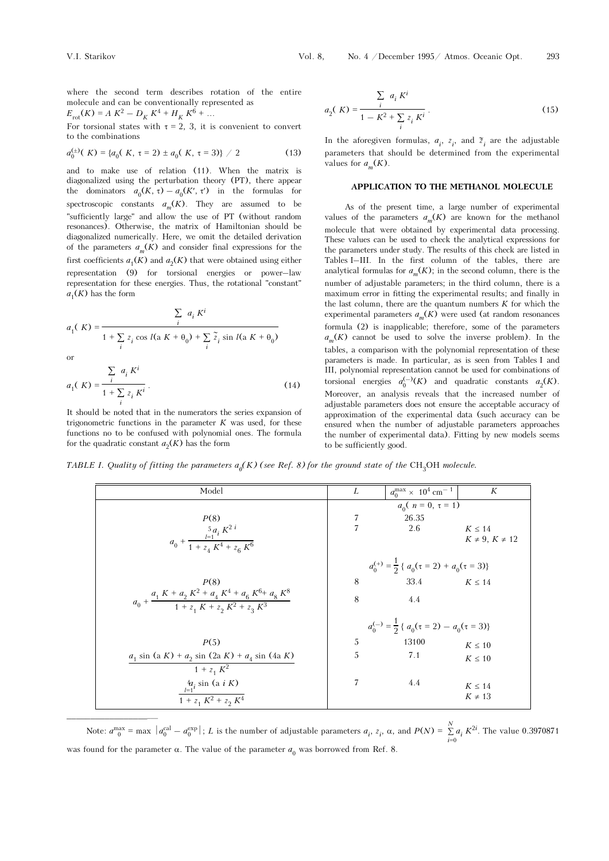where the second term describes rotation of the entire molecule and can be conventionally represented as where the second term describes romolecule and can be conventionally reproducted and can be conventionally reproduction  $E_{\text{rot}}(K) = A K^2 - D_K K^4 + H_K K^6 + ...$ 

$$
E_{\rm rot}(K) = A K^2 - D_K K^4 + H_K K^6 + .
$$

For torsional states with  $\tau = 2$ , 3, it is convenient to convert to the combinations

$$
a_0^{(\pm)}(K) = \{a_0(K, \tau = 2) \pm a_0(K, \tau = 3)\} / 2
$$
 (13)

and to make use of relation (11). When the matrix is diagonalized using the perturbation theory (PT), there appear the dominators  $a_0(K, \tau) - a_0(K', \tau')$  in the formulas for (example 2)  $\pm a_0$ <br>(of relation<br>the perturba<br>(K,  $\tau$ ) –  $a_0$ spectroscopic constants  $a_m(K)$ . They are assumed to be "sufficiently large" and allow the use of PT (without random resonances). Otherwise, the matrix of Hamiltonian should be diagonalized numerically. Here, we omit the detailed derivation of the parameters  $a_m(K)$  and consider final expressions for the first coefficients  $a_1(K)$  and  $a_2(K)$  that were obtained using either resonances). Otherwise, the matrix of Hamiltonian should be diagonalized numerically. Here, we omit the detailed derivation of the parameters  $a_m(K)$  and consider final expressions for the first coefficients  $a_1(K)$  and  $a$ representation for these energies. Thus, the rotational "constant"  $a_1(K)$  has the form

$$
a_1(K) = \frac{\sum_i a_i K^i}{1 + \sum_i z_i \cos l(\mathbf{a} K + \theta_0) + \sum_i \widetilde{z}_i \sin l(\mathbf{a} K + \theta_0)}
$$

or

 $\_$ 

$$
a_1(K) = \frac{\sum_{i} a_i K^i}{1 + \sum_{i} z_i K^i}.
$$
 (14)

It should be noted that in the numerators the series expansion of trigonometric functions in the parameter  $K$  was used, for these functions no to be confused with polynomial ones. The formula for the quadratic constant  $a_2(K)$  has the form

$$
a_2(K) = \frac{\sum_{i} a_i K^i}{1 - K^2 + \sum_{i} z_i K^i}.
$$
 (15)

In the aforegiven formulas,  $a_i$ ,  $z_i$ , and  $\tilde{z}_i$  are the adjustable parameters that should be determined from the experimental values for  $a_m(K)$ .

# APPLICATION TO THE METHANOL MOLECULE

As of the present time, a large number of experimental values of the parameters  $a_m(K)$  are known for the methanol molecule that were obtained by experimental data processing. These values can be used to check the analytical expressions for the parameters under study. The results of this check are listed in values of the parameters  $a_m(K)$  are known for the methanol molecule that were obtained by experimental data processing. These values can be used to check the analytical expressions for the parameters under study. The resu analytical formulas for  $a_m(K)$ ; in the second column, there is the number of adjustable parameters; in the third column, there is a maximum error in fitting the experimental results; and finally in the last column, there are the quantum numbers  $K$  for which the experimental parameters  $a_m(K)$  were used (at random resonances formula (2) is inapplicable; therefore, some of the parameters  $a_m(K)$  cannot be used to solve the inverse problem). In the tables, a comparison with the polynomial representation of these parameters is made. In particular, as is seen from Tables I and III, polynomial representation cannot be used for combinations of tables, a comparison with the polynomial representation of these<br>parameters is made. In particular, as is seen from Tables I and<br>III, polynomial representation cannot be used for combinations of<br>torsional energies  $a_0^{(-)}$ Moreover, an analysis reveals that the increased number of adjustable parameters does not ensure the acceptable accuracy of approximation of the experimental data (such accuracy can be ensured when the number of adjustable parameters approaches the number of experimental data). Fitting by new models seems to be sufficiently good.

TABLE I. Quality of fitting the parameters  $a_0(K)$  (see Ref. 8) for the ground state of the CH<sub>3</sub>OH molecule.

| Model                                                                                       | L                                                             | $a_0^{\text{max}} \times 10^4 \text{ cm}^{-1}$                | K                     |
|---------------------------------------------------------------------------------------------|---------------------------------------------------------------|---------------------------------------------------------------|-----------------------|
|                                                                                             |                                                               | $a_0(n = 0, \tau = 1)$                                        |                       |
| P(8)                                                                                        | 7                                                             | 26.35                                                         |                       |
|                                                                                             | $\overline{7}$                                                | 2.6                                                           | $K \leq 14$           |
| $a_0 + \frac{\frac{5}{i-1}a_i K^2 i}{1 + z_4 K^4 + z_6 K^6}$                                |                                                               |                                                               | $K \neq 9, K \neq 12$ |
|                                                                                             | $a_0^{(+)} = \frac{1}{2} \{ a_0(\tau = 2) + a_0(\tau = 3) \}$ |                                                               |                       |
| P(8)                                                                                        | 8                                                             | 33.4 $K \le 14$                                               |                       |
| $a_0 + \frac{a_1 K + a_2 K^2 + a_4 K^4 + a_6 K^6 + a_8 K^8}{1 + z_1 K + z_2 K^2 + z_2 K^3}$ | 8                                                             | 4.4                                                           |                       |
|                                                                                             |                                                               | $a_0^{(-)} = \frac{1}{2} \{ a_0(\tau = 2) - a_0(\tau = 3) \}$ |                       |
| P(5)                                                                                        | 5                                                             | 13100                                                         | $K \leq 10$           |
| $a_1$ sin (a K) + $a_2$ sin (2a K) + $a_4$ sin (4a K)                                       | 5                                                             | 7.1                                                           | $K\leq 10$            |
| $1 + z_1 K^2$                                                                               |                                                               |                                                               |                       |
| $\frac{4a_i \sin (a i K)}{1 + z_1 K^2 + z_2 K^4}$                                           | 7                                                             | 4.4                                                           | $K \leq 14$           |
|                                                                                             |                                                               |                                                               | $K \neq 13$           |

 $\sum_{i=1}^{N} a_i K^{2i}$ . The value 0.3970871 was found for the parameter  $\alpha$ . The value of the parameter  $a_0$  was borrowed from Ref. 8.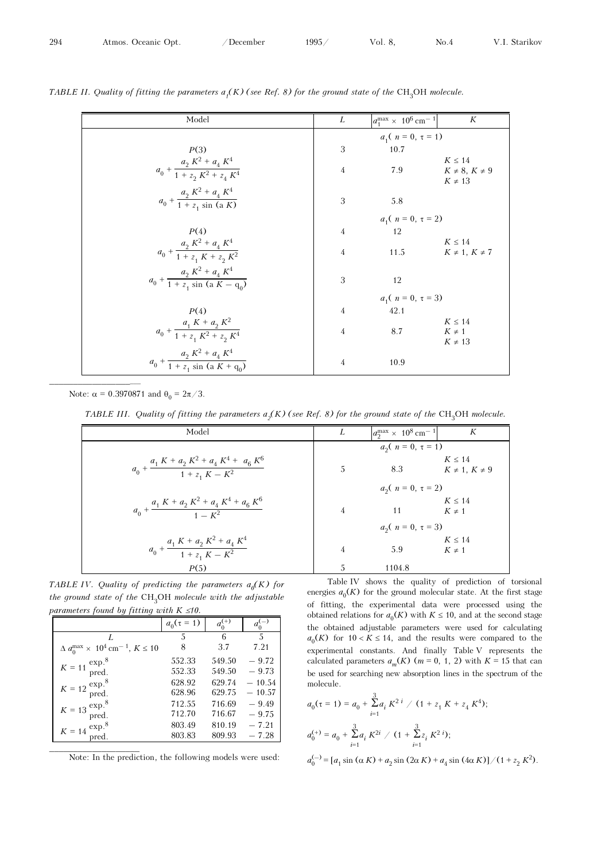| II. Quality of fitting the parameters $a_j(K)$ (see Ref. 8) for the ground state of the CH <sub>3</sub> OH molecule. |                |                                                |                      |  |
|----------------------------------------------------------------------------------------------------------------------|----------------|------------------------------------------------|----------------------|--|
| Model                                                                                                                | L              | $a_1^{\text{max}} \times 10^6 \text{ cm}^{-1}$ | K                    |  |
|                                                                                                                      |                | $a_1(n = 0, \tau = 1)$                         |                      |  |
| P(3)                                                                                                                 | 3              | 10.7                                           |                      |  |
|                                                                                                                      |                |                                                | $K \leq 14$          |  |
| $a_0 + \frac{a_2 K^2 + a_4 K^4}{1 + z_2 K^2 + z_4 K^4}$                                                              | $\overline{4}$ | 7.9                                            | $K \neq 8, K \neq 9$ |  |
|                                                                                                                      |                |                                                | $K \neq 13$          |  |
| $a_0 + \frac{a_2 K^2 + a_4 K^4}{1 + z_1 \sin (a K)}$                                                                 | 3              | 5.8                                            |                      |  |
|                                                                                                                      |                |                                                |                      |  |
|                                                                                                                      |                | $a_1(n = 0, \tau = 2)$                         |                      |  |
| P(4)                                                                                                                 | $\overline{4}$ | 12                                             |                      |  |
|                                                                                                                      |                |                                                | $K \leq 14$          |  |
| $a_0 + \frac{a_2 K^2 + a_4 K^4}{1 + z_1 K + z_2 K^2}$                                                                | $\overline{4}$ | 11.5                                           | $K \neq 1, K \neq 7$ |  |
|                                                                                                                      |                |                                                |                      |  |
| $a_0 + \frac{a_2 K^2 + a_4 K^4}{1 + z_1 \sin (a K - q_0)}$                                                           | 3              | 12                                             |                      |  |
|                                                                                                                      |                | $a_1(n = 0, \tau = 3)$                         |                      |  |
| P(4)                                                                                                                 | 4              | 42.1                                           |                      |  |
|                                                                                                                      |                |                                                | $K \leq 14$          |  |
| $a_0 + \frac{a_1 K + a_2 K^2}{1 + z_1 K^2 + z_2 K^4}$                                                                | $\overline{4}$ | 8.7                                            | $K \neq 1$           |  |
|                                                                                                                      |                |                                                | $K \neq 13$          |  |
| $a_0 + \frac{a_2 K^2 + a_4 K^4}{1 + z_1 \sin (a K + q_0)}$                                                           |                |                                                |                      |  |
|                                                                                                                      | 4              | 10.9                                           |                      |  |

TABLE II. Quality of fitting the parameters  $a_f(K)$  (see Ref. 8) for the ground state of the CH<sub>3</sub>OH molecule.

Note:  $\alpha = 0.3970871$  and  $\theta_0 = 2\pi/3$ .

 $\_$ 

TABLE III. Quality of fitting the parameters  $a_{\rm j}(K)$  (see Ref. 8) for the ground state of the CH<sub>3</sub>OH molecule.

| te: α = 0.3970871 and $θ_0 = 2π/3$ .                                                                                       |                        |                                                |                                         |
|----------------------------------------------------------------------------------------------------------------------------|------------------------|------------------------------------------------|-----------------------------------------|
| TABLE III. Quality of fitting the parameters $a2(K)$ (see Ref. 8) for the ground state of the CH <sub>3</sub> OH molecule. |                        |                                                |                                         |
| Model                                                                                                                      | L                      | $a_2^{\text{max}} \times 10^8 \text{ cm}^{-1}$ | K                                       |
|                                                                                                                            |                        | $a_2(n = 0, \tau = 1)$                         |                                         |
| $a_0 + \frac{a_1 K + a_2 K^2 + a_4 K^4 + a_6 K^6}{1 + z_4 K - K^2}$                                                        | 5                      |                                                | $K \leq 14$<br>8.3 $K \neq 1, K \neq 9$ |
|                                                                                                                            |                        | $a_2(n = 0, \tau = 2)$                         |                                         |
| $a_0 + \frac{a_1 K + a_2 K^2 + a_4 K^4 + a_6 K^6}{1 - K^2}$                                                                | $\overline{4}$         | 11                                             | $K \leq 14$<br>$K \neq 1$               |
|                                                                                                                            | $a_2(n = 0, \tau = 3)$ |                                                |                                         |
| $a_0 + \frac{a_1 K + a_2 K^2 + a_4 K^4}{1 + z_1 K - K^2}$                                                                  | 4                      | 5.9                                            | $K \leq 14$<br>$K \neq 1$               |
| P(5)                                                                                                                       | 5                      | 1104.8                                         |                                         |

TABLE IV. Quality of predicting the parameters  $a_0(K)$  for the ground state of the  $\mathrm{CH_{3}OH}$  molecule with the adjustable meters  $a_0(K)$ <br>th the adjust<br> $\frac{a_0^{(+)}}{a_0^{(-)}}$ 

|                                                                 | $a_0(\tau = 1)$ | $a_0^{(+)}$ | $a_{0}^{(-)}$ |
|-----------------------------------------------------------------|-----------------|-------------|---------------|
| L                                                               | 5               | 6           | 5             |
| $\Delta a_0^{\text{max}} \times 10^4 \text{ cm}^{-1}, K \le 10$ | 8               | 3.7         | 7.21          |
|                                                                 | 552.33          | 549.50      | $-9.72$       |
| $K=11\,\frac{\text{exp.}8}{\text{pred}}$                        | 552.33          | 549.50      | $-9.73$       |
|                                                                 | 628.92          | 629.74      | $-10.54$      |
| $K = 12 \frac{\text{exp.}^{8}}{\text{pred.}}$                   | 628.96          | 629.75      | $-10.57$      |
|                                                                 | 712.55          | 716.69      | $-9.49$       |
| $K = 13 \frac{\text{exp.}^8}{\text{pred.}}$                     | 712.70          | 716.67      | $-9.75$       |
| $K=14\;{\rm exp.}^8$                                            | 803.49          | 810.19      | $-7.21$       |
| pred.                                                           | 803.83          | 809.93      | $-7.28$       |

Note: In the prediction, the following models were used:

Table IV shows the quality of prediction of torsional energies  $a_0(K)$  for the ground molecular state. At the first stage of fitting, the experimental data were processed using the obtained relations for  $a_0(K)$  with  $K \leq 10$ , and at the second stage the obtained adjustable parameters were used for calculating  $a_0(K)$  for  $10 < K \le 14$ , and the results were compared to the experimental constants. And finally Table V represents the calculated parameters  $a_m(K)$  ( $m = 0, 1, 2$ ) with  $K = 15$  that can be used for searching new absorption lines in the spectrum of the molecule.

$$
a_0(\tau = 1) = a_0 + \sum_{i=1}^{3} a_i K^{2i} / (1 + z_1 K + z_4 K^4);
$$
  
\n
$$
a_0^{(+)} = a_0 + \sum_{i=1}^{3} a_i K^{2i} / (1 + \sum_{i=1}^{3} z_i K^{2i});
$$
  
\n
$$
a_0^{(-)} = [a_1 \sin(\alpha K) + a_2 \sin(2\alpha K) + a_4 \sin(4\alpha K)] / (1 + z_2 K^2).
$$